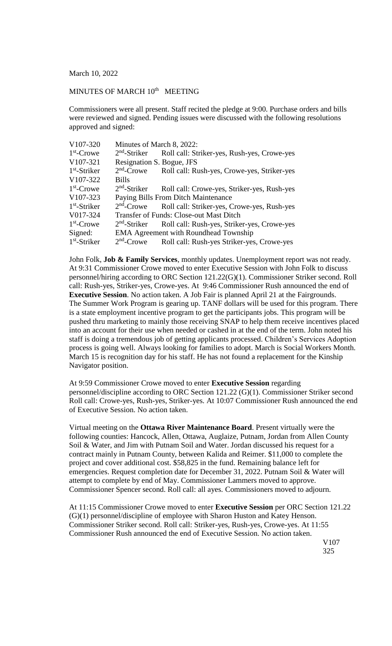March 10, 2022

## MINUTES OF MARCH  $10<sup>th</sup>$  MEETING

Commissioners were all present. Staff recited the pledge at 9:00. Purchase orders and bills were reviewed and signed. Pending issues were discussed with the following resolutions approved and signed:

| V107-320       | Minutes of March 8, 2022:                    |                                                |
|----------------|----------------------------------------------|------------------------------------------------|
| $1st$ -Crowe   | $2nd$ -Striker                               | Roll call: Striker-yes, Rush-yes, Crowe-yes    |
| V107-321       | Resignation S. Bogue, JFS                    |                                                |
| $1st$ -Striker | $2nd$ -Crowe                                 | Roll call: Rush-yes, Crowe-yes, Striker-yes    |
| V107-322       | <b>Bills</b>                                 |                                                |
| $1st$ -Crowe   | $2nd$ -Striker                               | Roll call: Crowe-yes, Striker-yes, Rush-yes    |
| V107-323       | Paying Bills From Ditch Maintenance          |                                                |
| $1st$ -Striker | $2nd$ -Crowe                                 | Roll call: Striker-yes, Crowe-yes, Rush-yes    |
| V017-324       |                                              | <b>Transfer of Funds: Close-out Mast Ditch</b> |
| $1st$ -Crowe   | $2nd$ -Striker                               | Roll call: Rush-yes, Striker-yes, Crowe-yes    |
| Signed:        | <b>EMA Agreement with Roundhead Township</b> |                                                |
| $1st$ -Striker | $2nd$ -Crowe                                 | Roll call: Rush-yes Striker-yes, Crowe-yes     |

John Folk, **Job & Family Services**, monthly updates. Unemployment report was not ready. At 9:31 Commissioner Crowe moved to enter Executive Session with John Folk to discuss personnel/hiring according to ORC Section 121.22(G)(1). Commissioner Striker second. Roll call: Rush-yes, Striker-yes, Crowe-yes. At 9:46 Commissioner Rush announced the end of **Executive Session.** No action taken. A Job Fair is planned April 21 at the Fairgrounds. The Summer Work Program is gearing up. TANF dollars will be used for this program. There is a state employment incentive program to get the participants jobs. This program will be pushed thru marketing to mainly those receiving SNAP to help them receive incentives placed into an account for their use when needed or cashed in at the end of the term. John noted his staff is doing a tremendous job of getting applicants processed. Children's Services Adoption process is going well. Always looking for families to adopt. March is Social Workers Month. March 15 is recognition day for his staff. He has not found a replacement for the Kinship Navigator position.

At 9:59 Commissioner Crowe moved to enter **Executive Session** regarding personnel/discipline according to ORC Section 121.22 (G)(1). Commissioner Striker second Roll call: Crowe-yes, Rush-yes, Striker-yes. At 10:07 Commissioner Rush announced the end of Executive Session. No action taken.

Virtual meeting on the **Ottawa River Maintenance Board**. Present virtually were the following counties: Hancock, Allen, Ottawa, Auglaize, Putnam, Jordan from Allen County Soil & Water, and Jim with Putnam Soil and Water. Jordan discussed his request for a contract mainly in Putnam County, between Kalida and Reimer. \$11,000 to complete the project and cover additional cost. \$58,825 in the fund. Remaining balance left for emergencies. Request completion date for December 31, 2022. Putnam Soil & Water will attempt to complete by end of May. Commissioner Lammers moved to approve. Commissioner Spencer second. Roll call: all ayes. Commissioners moved to adjourn.

At 11:15 Commissioner Crowe moved to enter **Executive Session** per ORC Section 121.22 (G)(1) personnel/discipline of employee with Sharon Huston and Katey Henson. Commissioner Striker second. Roll call: Striker-yes, Rush-yes, Crowe-yes. At 11:55 Commissioner Rush announced the end of Executive Session. No action taken.

> V107 325